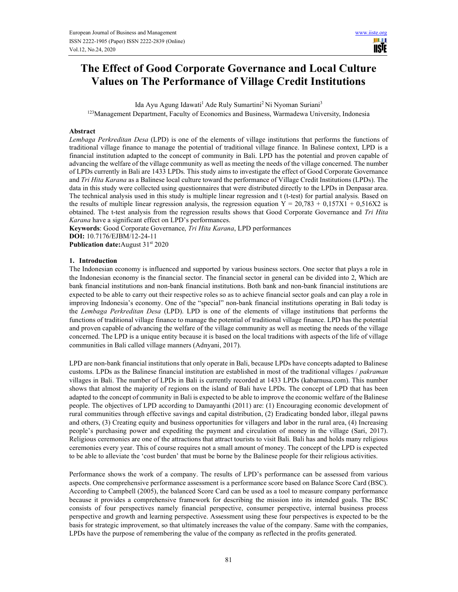# The Effect of Good Corporate Governance and Local Culture Values on The Performance of Village Credit Institutions

Ida Ayu Agung Idawati<sup>1</sup> Ade Ruly Sumartini<sup>2</sup> Ni Nyoman Suriani<sup>3</sup> <sup>123</sup>Management Department, Faculty of Economics and Business, Warmadewa University, Indonesia

#### Abstract

Lembaga Perkreditan Desa (LPD) is one of the elements of village institutions that performs the functions of traditional village finance to manage the potential of traditional village finance. In Balinese context, LPD is a financial institution adapted to the concept of community in Bali. LPD has the potential and proven capable of advancing the welfare of the village community as well as meeting the needs of the village concerned. The number of LPDs currently in Bali are 1433 LPDs. This study aims to investigate the effect of Good Corporate Governance and Tri Hita Karana as a Balinese local culture toward the performance of Village Credit Institutions (LPDs). The data in this study were collected using questionnaires that were distributed directly to the LPDs in Denpasar area. The technical analysis used in this study is multiple linear regression and t (t-test) for partial analysis. Based on the results of multiple linear regression analysis, the regression equation  $Y = 20,783 + 0,157X1 + 0,516X2$  is obtained. The t-test analysis from the regression results shows that Good Corporate Governance and Tri Hita Karana have a significant effect on LPD's performances.

Keywords: Good Corporate Governance, Tri Hita Karana, LPD performances DOI: 10.7176/EJBM/12-24-11

Publication date: August 31<sup>st</sup> 2020

#### 1. Introduction

The Indonesian economy is influenced and supported by various business sectors. One sector that plays a role in the Indonesian economy is the financial sector. The financial sector in general can be divided into 2, Which are bank financial institutions and non-bank financial institutions. Both bank and non-bank financial institutions are expected to be able to carry out their respective roles so as to achieve financial sector goals and can play a role in improving Indonesia's economy. One of the "special" non-bank financial institutions operating in Bali today is the Lembaga Perkreditan Desa (LPD). LPD is one of the elements of village institutions that performs the functions of traditional village finance to manage the potential of traditional village finance. LPD has the potential and proven capable of advancing the welfare of the village community as well as meeting the needs of the village concerned. The LPD is a unique entity because it is based on the local traditions with aspects of the life of village communities in Bali called village manners (Adnyani, 2017).

LPD are non-bank financial institutions that only operate in Bali, because LPDs have concepts adapted to Balinese customs. LPDs as the Balinese financial institution are established in most of the traditional villages / pakraman villages in Bali. The number of LPDs in Bali is currently recorded at 1433 LPDs (kabarnusa.com). This number shows that almost the majority of regions on the island of Bali have LPDs. The concept of LPD that has been adapted to the concept of community in Bali is expected to be able to improve the economic welfare of the Balinese people. The objectives of LPD according to Damayanthi (2011) are: (1) Encouraging economic development of rural communities through effective savings and capital distribution, (2) Eradicating bonded labor, illegal pawns and others, (3) Creating equity and business opportunities for villagers and labor in the rural area, (4) Increasing people's purchasing power and expediting the payment and circulation of money in the village (Sari, 2017). Religious ceremonies are one of the attractions that attract tourists to visit Bali. Bali has and holds many religious ceremonies every year. This of course requires not a small amount of money. The concept of the LPD is expected to be able to alleviate the 'cost burden' that must be borne by the Balinese people for their religious activities.

Performance shows the work of a company. The results of LPD's performance can be assessed from various aspects. One comprehensive performance assessment is a performance score based on Balance Score Card (BSC). According to Campbell (2005), the balanced Score Card can be used as a tool to measure company performance because it provides a comprehensive framework for describing the mission into its intended goals. The BSC consists of four perspectives namely financial perspective, consumer perspective, internal business process perspective and growth and learning perspective. Assessment using these four perspectives is expected to be the basis for strategic improvement, so that ultimately increases the value of the company. Same with the companies, LPDs have the purpose of remembering the value of the company as reflected in the profits generated.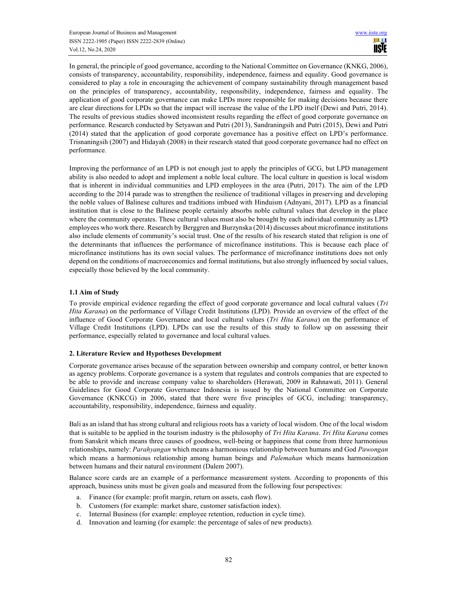In general, the principle of good governance, according to the National Committee on Governance (KNKG, 2006), consists of transparency, accountability, responsibility, independence, fairness and equality. Good governance is considered to play a role in encouraging the achievement of company sustainability through management based on the principles of transparency, accountability, responsibility, independence, fairness and equality. The application of good corporate governance can make LPDs more responsible for making decisions because there are clear directions for LPDs so that the impact will increase the value of the LPD itself (Dewi and Putri, 2014). The results of previous studies showed inconsistent results regarding the effect of good corporate governance on performance. Research conducted by Setyawan and Putri (2013), Sandraningsih and Putri (2015), Dewi and Putri (2014) stated that the application of good corporate governance has a positive effect on LPD's performance. Trisnaningsih (2007) and Hidayah (2008) in their research stated that good corporate governance had no effect on performance.

Improving the performance of an LPD is not enough just to apply the principles of GCG, but LPD management ability is also needed to adopt and implement a noble local culture. The local culture in question is local wisdom that is inherent in individual communities and LPD employees in the area (Putri, 2017). The aim of the LPD according to the 2014 parade was to strengthen the resilience of traditional villages in preserving and developing the noble values of Balinese cultures and traditions imbued with Hinduism (Adnyani, 2017). LPD as a financial institution that is close to the Balinese people certainly absorbs noble cultural values that develop in the place where the community operates. These cultural values must also be brought by each individual community as LPD employees who work there. Research by Berggren and Burzynska (2014) discusses about microfinance institutions also include elements of community's social trust. One of the results of his research stated that religion is one of the determinants that influences the performance of microfinance institutions. This is because each place of microfinance institutions has its own social values. The performance of microfinance institutions does not only depend on the conditions of macroeconomics and formal institutions, but also strongly influenced by social values, especially those believed by the local community.

# 1.1 Aim of Study

To provide empirical evidence regarding the effect of good corporate governance and local cultural values (Tri Hita Karana) on the performance of Village Credit Institutions (LPD). Provide an overview of the effect of the influence of Good Corporate Governance and local cultural values (Tri Hita Karana) on the performance of Village Credit Institutions (LPD). LPDs can use the results of this study to follow up on assessing their performance, especially related to governance and local cultural values.

# 2. Literature Review and Hypotheses Development

Corporate governance arises because of the separation between ownership and company control, or better known as agency problems. Corporate governance is a system that regulates and controls companies that are expected to be able to provide and increase company value to shareholders (Herawati, 2009 in Rahnawati, 2011). General Guidelines for Good Corporate Governance Indonesia is issued by the National Committee on Corporate Governance (KNKCG) in 2006, stated that there were five principles of GCG, including: transparency, accountability, responsibility, independence, fairness and equality.

Bali as an island that has strong cultural and religious roots has a variety of local wisdom. One of the local wisdom that is suitable to be applied in the tourism industry is the philosophy of Tri Hita Karana. Tri Hita Karana comes from Sanskrit which means three causes of goodness, well-being or happiness that come from three harmonious relationships, namely: Parahyangan which means a harmonious relationship between humans and God Pawongan which means a harmonious relationship among human beings and *Palemahan* which means harmonization between humans and their natural environment (Dalem 2007).

Balance score cards are an example of a performance measurement system. According to proponents of this approach, business units must be given goals and measured from the following four perspectives:

- a. Finance (for example: profit margin, return on assets, cash flow).
- b. Customers (for example: market share, customer satisfaction index).
- c. Internal Business (for example: employee retention, reduction in cycle time).
- d. Innovation and learning (for example: the percentage of sales of new products).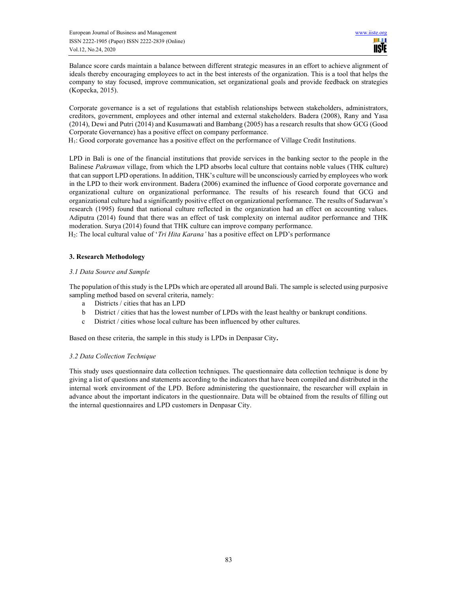Balance score cards maintain a balance between different strategic measures in an effort to achieve alignment of ideals thereby encouraging employees to act in the best interests of the organization. This is a tool that helps the company to stay focused, improve communication, set organizational goals and provide feedback on strategies (Kopecka, 2015).

Corporate governance is a set of regulations that establish relationships between stakeholders, administrators, creditors, government, employees and other internal and external stakeholders. Badera (2008), Rany and Yasa (2014), Dewi and Putri (2014) and Kusumawati and Bambang (2005) has a research results that show GCG (Good Corporate Governance) has a positive effect on company performance.

H1: Good corporate governance has a positive effect on the performance of Village Credit Institutions.

LPD in Bali is one of the financial institutions that provide services in the banking sector to the people in the Balinese Pakraman village, from which the LPD absorbs local culture that contains noble values (THK culture) that can support LPD operations. In addition, THK's culture will be unconsciously carried by employees who work in the LPD to their work environment. Badera (2006) examined the influence of Good corporate governance and organizational culture on organizational performance. The results of his research found that GCG and organizational culture had a significantly positive effect on organizational performance. The results of Sudarwan's research (1995) found that national culture reflected in the organization had an effect on accounting values. Adiputra (2014) found that there was an effect of task complexity on internal auditor performance and THK moderation. Surya (2014) found that THK culture can improve company performance.

H<sub>2</sub>: The local cultural value of '*Tri Hita Karana'* has a positive effect on LPD's performance

# 3. Research Methodology

# 3.1 Data Source and Sample

The population of this study is the LPDs which are operated all around Bali. The sample is selected using purposive sampling method based on several criteria, namely:

- a Districts / cities that has an LPD
- b District / cities that has the lowest number of LPDs with the least healthy or bankrupt conditions.
- c District / cities whose local culture has been influenced by other cultures.

Based on these criteria, the sample in this study is LPDs in Denpasar City.

# 3.2 Data Collection Technique

This study uses questionnaire data collection techniques. The questionnaire data collection technique is done by giving a list of questions and statements according to the indicators that have been compiled and distributed in the internal work environment of the LPD. Before administering the questionnaire, the researcher will explain in advance about the important indicators in the questionnaire. Data will be obtained from the results of filling out the internal questionnaires and LPD customers in Denpasar City.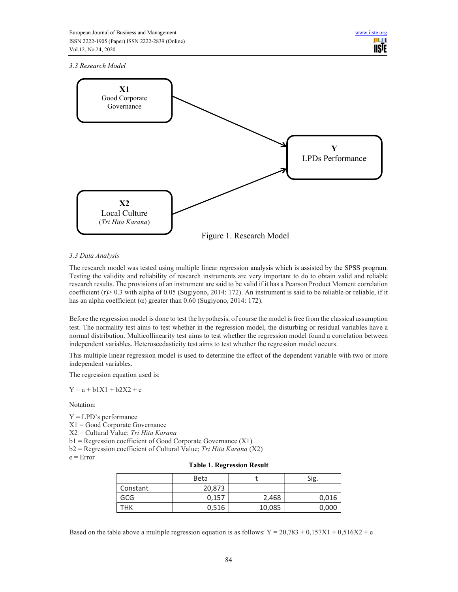3.3 Research Model



# 3.3 Data Analysis

The research model was tested using multiple linear regression analysis which is assisted by the SPSS program. Testing the validity and reliability of research instruments are very important to do to obtain valid and reliable research results. The provisions of an instrument are said to be valid if it has a Pearson Product Moment correlation coefficient (r)> 0.3 with alpha of 0.05 (Sugiyono, 2014: 172). An instrument is said to be reliable or reliable, if it has an alpha coefficient ( $\alpha$ ) greater than 0.60 (Sugiyono, 2014: 172).

Before the regression model is done to test the hypothesis, of course the model is free from the classical assumption test. The normality test aims to test whether in the regression model, the disturbing or residual variables have a normal distribution. Multicollinearity test aims to test whether the regression model found a correlation between independent variables. Heteroscedasticity test aims to test whether the regression model occurs.

This multiple linear regression model is used to determine the effect of the dependent variable with two or more independent variables.

The regression equation used is:

 $Y = a + h1X1 + h2X2 + e$ 

# Notation:

- Y = LPD's performance
- X1 = Good Corporate Governance
- X2 = Cultural Value; Tri Hita Karana

 $b1$  = Regression coefficient of Good Corporate Governance (X1)

 $b2$  = Regression coefficient of Cultural Value; Tri Hita Karana (X2)

 $e = Error$ 

|  |  | <b>Table 1. Regression Result</b> |  |
|--|--|-----------------------------------|--|
|--|--|-----------------------------------|--|

|          | <b>Beta</b> |        | Sig.  |
|----------|-------------|--------|-------|
| Constant | 20,873      |        |       |
| GCG      | 0,157       | 2,468  | 0,016 |
| THK      | 0,516       | 10,085 | 0,000 |

Based on the table above a multiple regression equation is as follows:  $Y = 20,783 + 0,157X1 + 0,516X2 + e$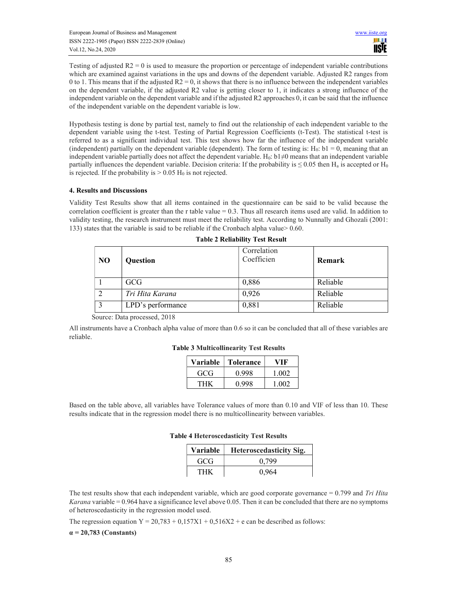Testing of adjusted  $R2 = 0$  is used to measure the proportion or percentage of independent variable contributions which are examined against variations in the ups and downs of the dependent variable. Adjusted R2 ranges from 0 to 1. This means that if the adjusted  $R2 = 0$ , it shows that there is no influence between the independent variables on the dependent variable, if the adjusted R2 value is getting closer to 1, it indicates a strong influence of the independent variable on the dependent variable and if the adjusted R2 approaches 0, it can be said that the influence of the independent variable on the dependent variable is low.

Hypothesis testing is done by partial test, namely to find out the relationship of each independent variable to the dependent variable using the t-test. Testing of Partial Regression Coefficients (t-Test). The statistical t-test is referred to as a significant individual test. This test shows how far the influence of the independent variable (independent) partially on the dependent variable (dependent). The form of testing is:  $H_0$ :  $b1 = 0$ , meaning that an independent variable partially does not affect the dependent variable. H<sub>0</sub>: b1≠0 means that an independent variable partially influences the dependent variable. Decision criteria: If the probability is  $\leq 0.05$  then H<sub>a</sub> is accepted or H<sub>0</sub> is rejected. If the probability is  $> 0.05$  H<sub>0</sub> is not rejected.

# 4. Results and Discussions

Validity Test Results show that all items contained in the questionnaire can be said to be valid because the correlation coefficient is greater than the r table value  $= 0.3$ . Thus all research items used are valid. In addition to validity testing, the research instrument must meet the reliability test. According to Nunnally and Ghozali (2001: 133) states that the variable is said to be reliable if the Cronbach alpha value> 0.60.

| N <sub>O</sub> | Question          | Correlation<br>Coefficien | <b>Remark</b> |
|----------------|-------------------|---------------------------|---------------|
|                | GCG               | 0,886                     | Reliable      |
| $\overline{2}$ | Tri Hita Karana   | 0,926                     | Reliable      |
| 3              | LPD's performance | 0,881                     | Reliable      |

Source: Data processed, 2018

All instruments have a Cronbach alpha value of more than 0.6 so it can be concluded that all of these variables are reliable.

#### Table 3 Multicollinearity Test Results

| Variable | <b>Tolerance</b> | VIK   |
|----------|------------------|-------|
| GCG      | 0.998            | 1.002 |
| THK      | 0.998            | 1.002 |

Based on the table above, all variables have Tolerance values of more than 0.10 and VIF of less than 10. These results indicate that in the regression model there is no multicollinearity between variables.

#### Table 4 Heteroscedasticity Test Results

| Variable | <b>Heteroscedasticity Sig.</b> |
|----------|--------------------------------|
| GCG      | 0.799                          |
| THK      | 0.964                          |

The test results show that each independent variable, which are good corporate governance  $= 0.799$  and Tri Hita *Karana* variable =  $0.964$  have a significance level above  $0.05$ . Then it can be concluded that there are no symptoms of heteroscedasticity in the regression model used.

The regression equation  $Y = 20,783 + 0,157X1 + 0,516X2 + e$  can be described as follows:

 $\alpha$  = 20,783 (Constants)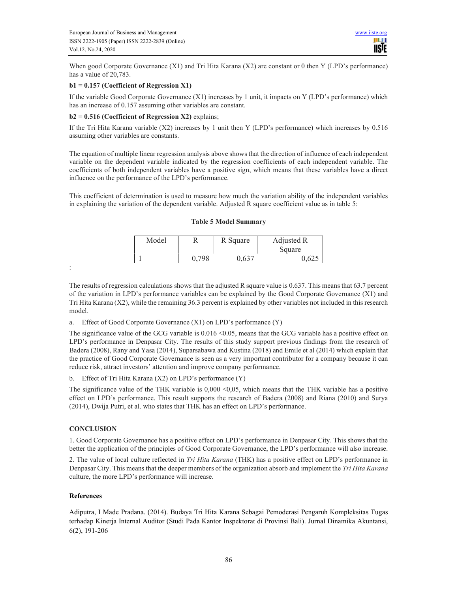When good Corporate Governance (X1) and Tri Hita Karana (X2) are constant or 0 then Y (LPD's performance) has a value of 20,783.

# b1 = 0.157 (Coefficient of Regression X1)

If the variable Good Corporate Governance (X1) increases by 1 unit, it impacts on Y (LPD's performance) which has an increase of 0.157 assuming other variables are constant.

#### $b2 = 0.516$  (Coefficient of Regression X2) explains;

If the Tri Hita Karana variable (X2) increases by 1 unit then Y (LPD's performance) which increases by 0.516 assuming other variables are constants.

The equation of multiple linear regression analysis above shows that the direction of influence of each independent variable on the dependent variable indicated by the regression coefficients of each independent variable. The coefficients of both independent variables have a positive sign, which means that these variables have a direct influence on the performance of the LPD's performance.

This coefficient of determination is used to measure how much the variation ability of the independent variables in explaining the variation of the dependent variable. Adjusted R square coefficient value as in table 5:

#### Table 5 Model Summary

| Model | R     | R Square | Adjusted R<br>Square |
|-------|-------|----------|----------------------|
|       | 0.798 | ).637    |                      |

:

The results of regression calculations shows that the adjusted R square value is 0.637. This means that 63.7 percent of the variation in LPD's performance variables can be explained by the Good Corporate Governance (X1) and Tri Hita Karana (X2), while the remaining 36.3 percent is explained by other variables not included in this research model.

a. Effect of Good Corporate Governance (X1) on LPD's performance (Y)

The significance value of the GCG variable is  $0.016 \le 0.05$ , means that the GCG variable has a positive effect on LPD's performance in Denpasar City. The results of this study support previous findings from the research of Badera (2008), Rany and Yasa (2014), Suparsabawa and Kustina (2018) and Emile et al (2014) which explain that the practice of Good Corporate Governance is seen as a very important contributor for a company because it can reduce risk, attract investors' attention and improve company performance.

b. Effect of Tri Hita Karana (X2) on LPD's performance (Y)

The significance value of the THK variable is  $0,000 \le 0,05$ , which means that the THK variable has a positive effect on LPD's performance. This result supports the research of Badera (2008) and Riana (2010) and Surya (2014), Dwija Putri, et al. who states that THK has an effect on LPD's performance.

#### **CONCLUSION**

1. Good Corporate Governance has a positive effect on LPD's performance in Denpasar City. This shows that the better the application of the principles of Good Corporate Governance, the LPD's performance will also increase.

2. The value of local culture reflected in Tri Hita Karana (THK) has a positive effect on LPD's performance in Denpasar City. This means that the deeper members of the organization absorb and implement the Tri Hita Karana culture, the more LPD's performance will increase.

#### References

Adiputra, I Made Pradana. (2014). Budaya Tri Hita Karana Sebagai Pemoderasi Pengaruh Kompleksitas Tugas terhadap Kinerja Internal Auditor (Studi Pada Kantor Inspektorat di Provinsi Bali). Jurnal Dinamika Akuntansi, 6(2), 191-206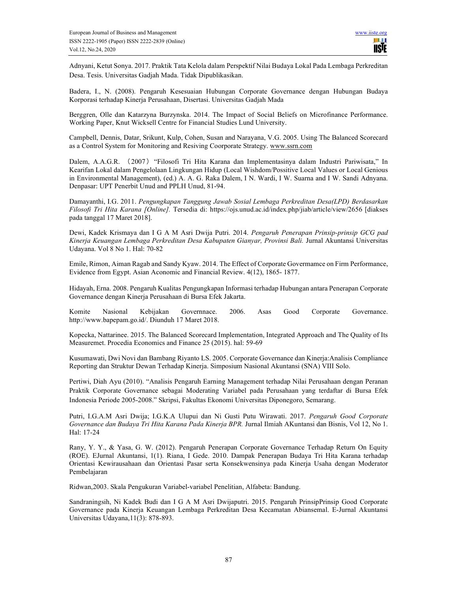Adnyani, Ketut Sonya. 2017. Praktik Tata Kelola dalam Perspektif Nilai Budaya Lokal Pada Lembaga Perkreditan Desa. Tesis. Universitas Gadjah Mada. Tidak Dipublikasikan.

Badera, I., N. (2008). Pengaruh Kesesuaian Hubungan Corporate Governance dengan Hubungan Budaya Korporasi terhadap Kinerja Perusahaan, Disertasi. Universitas Gadjah Mada

Berggren, Olle dan Katarzyna Burzynska. 2014. The Impact of Social Beliefs on Microfinance Performance. Working Paper, Knut Wicksell Centre for Financial Studies Lund University.

Campbell, Dennis, Datar, Srikunt, Kulp, Cohen, Susan and Narayana, V.G. 2005. Using The Balanced Scorecard as a Control System for Monitoring and Resiving Coorporate Strategy. www.ssrn.com

Dalem, A.A.G.R. (2007)"Filosofi Tri Hita Karana dan Implementasinya dalam Industri Pariwisata," In Kearifan Lokal dalam Pengelolaan Lingkungan Hidup (Local Wishdom/Possitive Local Values or Local Genious in Environmental Management), (ed.) A. A. G. Raka Dalem, I N. Wardi, I W. Suarna and I W. Sandi Adnyana. Denpasar: UPT Penerbit Unud and PPLH Unud, 81-94.

Damayanthi, I.G. 2011. Pengungkapan Tanggung Jawab Sosial Lembaga Perkreditan Desa(LPD) Berdasarkan Filosofi Tri Hita Karana [Online]. Tersedia di: https://ojs.unud.ac.id/index.php/jiab/article/view/2656 [diakses pada tanggal 17 Maret 2018].

Dewi, Kadek Krismaya dan I G A M Asri Dwija Putri. 2014. Pengaruh Penerapan Prinsip-prinsip GCG pad Kinerja Keuangan Lembaga Perkreditan Desa Kabupaten Gianyar, Provinsi Bali. Jurnal Akuntansi Universitas Udayana. Vol 8 No 1. Hal: 70-82

Emile, Rimon, Aiman Ragab and Sandy Kyaw. 2014. The Effect of Corporate Govermamce on Firm Performance, Evidence from Egypt. Asian Aconomic and Financial Review. 4(12), 1865- 1877.

Hidayah, Erna. 2008. Pengaruh Kualitas Pengungkapan Informasi terhadap Hubungan antara Penerapan Corporate Governance dengan Kinerja Perusahaan di Bursa Efek Jakarta.

Komite Nasional Kebijakan Governnace. 2006. Asas Good Corporate Governance. http://www.bapepam.go.id/. Diunduh 17 Maret 2018.

Kopecka, Nattarinee. 2015. The Balanced Scorecard Implementation, Integrated Approach and The Quality of Its Measuremet. Procedia Economics and Finance 25 (2015). hal: 59-69

Kusumawati, Dwi Novi dan Bambang Riyanto LS. 2005. Corporate Governance dan Kinerja:Analisis Compliance Reporting dan Struktur Dewan Terhadap Kinerja. Simposium Nasional Akuntansi (SNA) VIII Solo.

Pertiwi, Diah Ayu (2010). "Analisis Pengaruh Earning Management terhadap Nilai Perusahaan dengan Peranan Praktik Corporate Governance sebagai Moderating Variabel pada Perusahaan yang terdaftar di Bursa Efek Indonesia Periode 2005-2008." Skripsi, Fakultas Ekonomi Universitas Diponegoro, Semarang.

Putri, I.G.A.M Asri Dwija; I.G.K.A Ulupui dan Ni Gusti Putu Wirawati. 2017. Pengaruh Good Corporate Governance dan Budaya Tri Hita Karana Pada Kinerja BPR. Jurnal Ilmiah AKuntansi dan Bisnis, Vol 12, No 1. Hal: 17-24

Rany, Y. Y., & Yasa, G. W. (2012). Pengaruh Penerapan Corporate Governance Terhadap Return On Equity (ROE). EJurnal Akuntansi, 1(1). Riana, I Gede. 2010. Dampak Penerapan Budaya Tri Hita Karana terhadap Orientasi Kewirausahaan dan Orientasi Pasar serta Konsekwensinya pada Kinerja Usaha dengan Moderator Pembelajaran

Ridwan,2003. Skala Pengukuran Variabel-variabel Penelitian, Alfabeta: Bandung.

Sandraningsih, Ni Kadek Budi dan I G A M Asri Dwijaputri. 2015. Pengaruh PrinsipPrinsip Good Corporate Governance pada Kinerja Keuangan Lembaga Perkreditan Desa Kecamatan Abiansemal. E-Jurnal Akuntansi Universitas Udayana,11(3): 878-893.